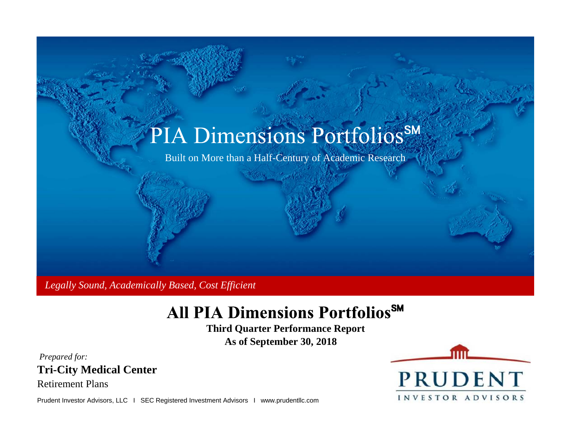

 *Legally Sound, Academically Based, Cost Efficient*

# **All PIA Dimensions PortfoliosSM**

**Third Quarter Performance Report As of September 30, 2018**

**Tri-City Medical Center** *Prepared for:*

Retirement Plans

Prudent Investor Advisors, LLC I SEC Registered Investment Advisors I www.prudentllc.com

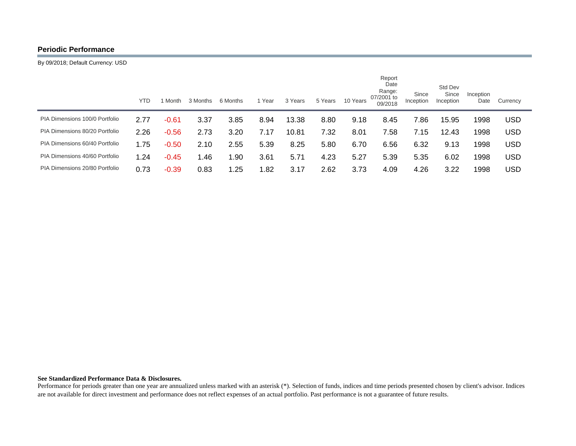# **Periodic Performance**

By 09/2018; Default Currency: USD

|                                | <b>YTD</b> | l Month | 3 Months | 6 Months | 1 Year | 3 Years | 5 Years | 10 Years | Report<br>Date<br>Range:<br>07/2001 to<br>09/2018 | Since<br>Inception | Std Dev<br>Since<br>Inception | Inception<br>Date | Currency   |
|--------------------------------|------------|---------|----------|----------|--------|---------|---------|----------|---------------------------------------------------|--------------------|-------------------------------|-------------------|------------|
| PIA Dimensions 100/0 Portfolio | 2.77       | $-0.61$ | 3.37     | 3.85     | 8.94   | 13.38   | 8.80    | 9.18     | 8.45                                              | 7.86               | 15.95                         | 1998              | USD        |
| PIA Dimensions 80/20 Portfolio | 2.26       | $-0.56$ | 2.73     | 3.20     | 7.17   | 10.81   | 7.32    | 8.01     | 7.58                                              | 7.15               | 12.43                         | 1998              | <b>USD</b> |
| PIA Dimensions 60/40 Portfolio | 1.75       | $-0.50$ | 2.10     | 2.55     | 5.39   | 8.25    | 5.80    | 6.70     | 6.56                                              | 6.32               | 9.13                          | 1998              | USD        |
| PIA Dimensions 40/60 Portfolio | 1.24       | $-0.45$ | .46      | 1.90     | 3.61   | 5.71    | 4.23    | 5.27     | 5.39                                              | 5.35               | 6.02                          | 1998              | USD        |
| PIA Dimensions 20/80 Portfolio | 0.73       | $-0.39$ | 0.83     | 1.25     | .82    | 3.17    | 2.62    | 3.73     | 4.09                                              | 4.26               | 3.22                          | 1998              | USD        |

### **See Standardized Performance Data & Disclosures.**

Performance for periods greater than one year are annualized unless marked with an asterisk (\*). Selection of funds, indices and time periods presented chosen by client's advisor. Indices are not available for direct investment and performance does not reflect expenses of an actual portfolio. Past performance is not a guarantee of future results.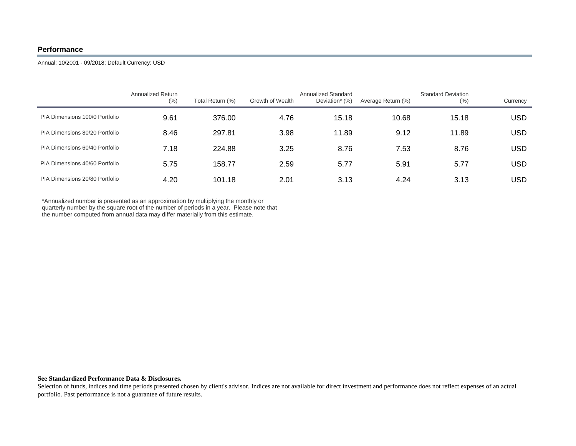# **Performance**

Annual: 10/2001 - 09/2018; Default Currency: USD

|                                | <b>Annualized Return</b><br>(% ) | Total Return (%) | Growth of Wealth | Annualized Standard<br>Deviation* (%) | Average Return (%) | <b>Standard Deviation</b><br>(% ) | Currency |
|--------------------------------|----------------------------------|------------------|------------------|---------------------------------------|--------------------|-----------------------------------|----------|
| PIA Dimensions 100/0 Portfolio | 9.61                             | 376.00           | 4.76             | 15.18                                 | 10.68              | 15.18                             | USD      |
| PIA Dimensions 80/20 Portfolio | 8.46                             | 297.81           | 3.98             | 11.89                                 | 9.12               | 11.89                             | USD      |
| PIA Dimensions 60/40 Portfolio | 7.18                             | 224.88           | 3.25             | 8.76                                  | 7.53               | 8.76                              | USD      |
| PIA Dimensions 40/60 Portfolio | 5.75                             | 158.77           | 2.59             | 5.77                                  | 5.91               | 5.77                              | USD      |
| PIA Dimensions 20/80 Portfolio | 4.20                             | 101.18           | 2.01             | 3.13                                  | 4.24               | 3.13                              | USD      |

\*Annualized number is presented as an approximation by multiplying the monthly or quarterly number by the square root of the number of periods in a year. Please note that the number computed from annual data may differ materially from this estimate.

## **See Standardized Performance Data & Disclosures.**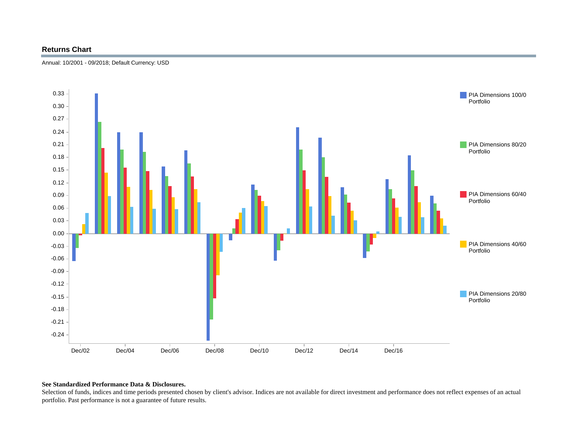# **Returns Chart**





## **See Standardized Performance Data & Disclosures.**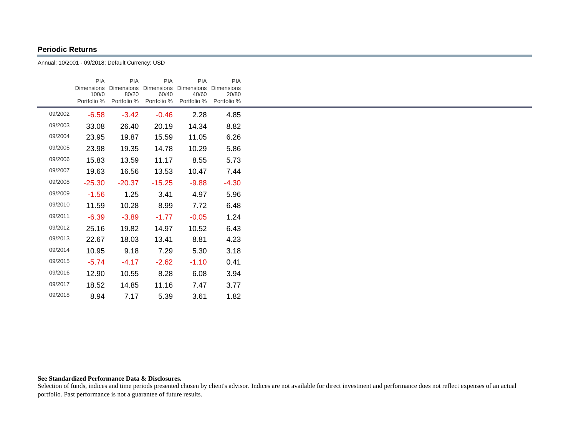# **Periodic Returns**

Annual: 10/2001 - 09/2018; Default Currency: USD

|         | <b>PIA</b><br><b>Dimensions</b><br>100/0<br>Portfolio % | <b>PIA</b><br><b>Dimensions</b><br>80/20 | <b>PIA</b><br>60/40 | <b>PIA</b><br>Dimensions Dimensions<br>40/60<br>Portfolio % Portfolio % Portfolio % | <b>PIA</b><br><b>Dimensions</b><br>20/80<br>Portfolio % |  |
|---------|---------------------------------------------------------|------------------------------------------|---------------------|-------------------------------------------------------------------------------------|---------------------------------------------------------|--|
| 09/2002 | $-6.58$                                                 | $-3.42$                                  | $-0.46$             | 2.28                                                                                | 4.85                                                    |  |
| 09/2003 | 33.08                                                   | 26.40                                    | 20.19               | 14.34                                                                               | 8.82                                                    |  |
| 09/2004 | 23.95                                                   | 19.87                                    | 15.59               | 11.05                                                                               | 6.26                                                    |  |
| 09/2005 | 23.98                                                   | 19.35                                    | 14.78               | 10.29                                                                               | 5.86                                                    |  |
| 09/2006 | 15.83                                                   | 13.59                                    | 11.17               | 8.55                                                                                | 5.73                                                    |  |
| 09/2007 | 19.63                                                   | 16.56                                    | 13.53               | 10.47                                                                               | 7.44                                                    |  |
| 09/2008 | $-25.30$                                                | $-20.37$                                 | $-15.25$            | -9.88                                                                               | $-4.30$                                                 |  |
| 09/2009 | $-1.56$                                                 | 1.25                                     | 3.41                | 4.97                                                                                | 5.96                                                    |  |
| 09/2010 | 11.59                                                   | 10.28                                    | 8.99                | 7.72                                                                                | 6.48                                                    |  |
| 09/2011 | $-6.39$                                                 | $-3.89$                                  | $-1.77$             | $-0.05$                                                                             | 1.24                                                    |  |
| 09/2012 | 25.16                                                   | 19.82                                    | 14.97               | 10.52                                                                               | 6.43                                                    |  |
| 09/2013 | 22.67                                                   | 18.03                                    | 13.41               | 8.81                                                                                | 4.23                                                    |  |
| 09/2014 | 10.95                                                   | 9.18                                     | 7.29                | 5.30                                                                                | 3.18                                                    |  |
| 09/2015 | $-5.74$                                                 | $-4.17$                                  | $-2.62$             | $-1.10$                                                                             | 0.41                                                    |  |
| 09/2016 | 12.90                                                   | 10.55                                    | 8.28                | 6.08                                                                                | 3.94                                                    |  |
| 09/2017 | 18.52                                                   | 14.85                                    | 11.16               | 7.47                                                                                | 3.77                                                    |  |
| 09/2018 | 8.94                                                    | 7.17                                     | 5.39                | 3.61                                                                                | 1.82                                                    |  |

### **See Standardized Performance Data & Disclosures.**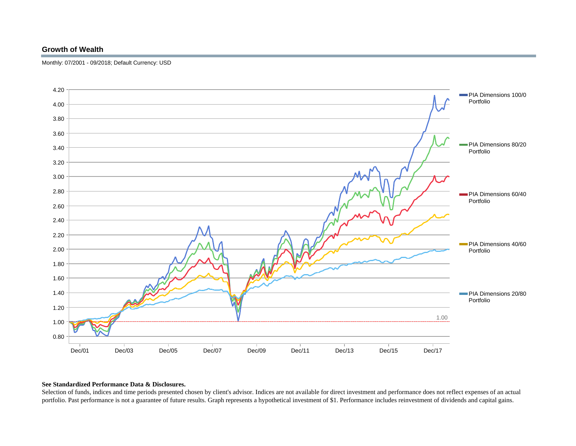# **Growth of Wealth**

Monthly: 07/2001 - 09/2018; Default Currency: USD



## **See Standardized Performance Data & Disclosures.**

Selection of funds, indices and time periods presented chosen by client's advisor. Indices are not available for direct investment and performance does not reflect expenses of an actual portfolio. Past performance is not a guarantee of future results. Graph represents a hypothetical investment of \$1. Performance includes reinvestment of dividends and capital gains.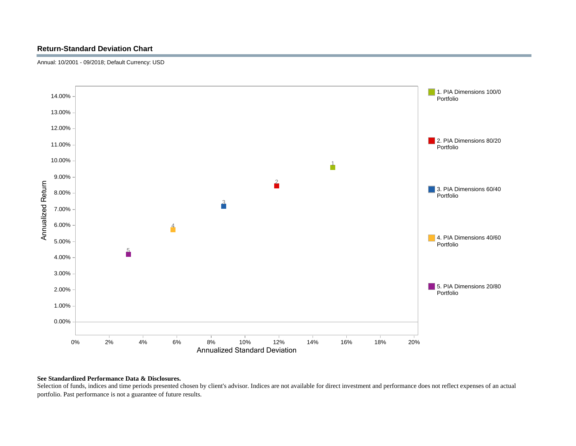# **Return-Standard Deviation Chart**

Annual: 10/2001 - 09/2018; Default Currency: USD



## **See Standardized Performance Data & Disclosures.**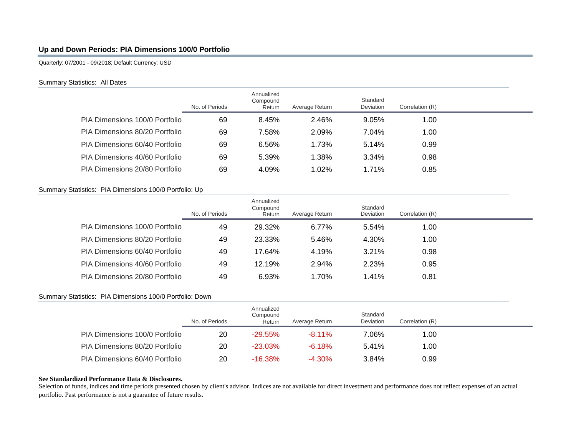# **Up and Down Periods: PIA Dimensions 100/0 Portfolio**

Quarterly: 07/2001 - 09/2018; Default Currency: USD

## Summary Statistics: All Dates

|                                | No. of Periods | Annualized<br>Compound<br>Return | Average Return | Standard<br>Deviation | Correlation (R) |  |
|--------------------------------|----------------|----------------------------------|----------------|-----------------------|-----------------|--|
| PIA Dimensions 100/0 Portfolio | 69             | 8.45%                            | 2.46%          | 9.05%                 | 1.00            |  |
| PIA Dimensions 80/20 Portfolio | 69             | 7.58%                            | 2.09%          | 7.04%                 | 1.00            |  |
| PIA Dimensions 60/40 Portfolio | 69             | 6.56%                            | 1.73%          | 5.14%                 | 0.99            |  |
| PIA Dimensions 40/60 Portfolio | 69             | 5.39%                            | 1.38%          | 3.34%                 | 0.98            |  |
| PIA Dimensions 20/80 Portfolio | 69             | 4.09%                            | 1.02%          | 1.71%                 | 0.85            |  |

# Summary Statistics: PIA Dimensions 100/0 Portfolio: Up

|                                | No. of Periods | Annualized<br>Compound<br>Return | Average Return | Standard<br>Deviation | Correlation (R) |  |
|--------------------------------|----------------|----------------------------------|----------------|-----------------------|-----------------|--|
| PIA Dimensions 100/0 Portfolio | 49             | 29.32%                           | $6.77\%$       | 5.54%                 | 1.00            |  |
| PIA Dimensions 80/20 Portfolio | 49             | 23.33%                           | 5.46%          | 4.30%                 | 1.00            |  |
| PIA Dimensions 60/40 Portfolio | 49             | 17.64%                           | 4.19%          | 3.21%                 | 0.98            |  |
| PIA Dimensions 40/60 Portfolio | 49             | 12.19%                           | 2.94%          | 2.23%                 | 0.95            |  |
| PIA Dimensions 20/80 Portfolio | 49             | 6.93%                            | 1.70%          | 1.41%                 | 0.81            |  |

# Summary Statistics: PIA Dimensions 100/0 Portfolio: Down

|                                | No. of Periods | Annualized<br>Compound<br>Return | Average Return | Standard<br>Deviation | Correlation (R) |  |
|--------------------------------|----------------|----------------------------------|----------------|-----------------------|-----------------|--|
| PIA Dimensions 100/0 Portfolio | 20             | $-29.55\%$                       | $-8.11\%$      | 7.06%                 | 1.00            |  |
| PIA Dimensions 80/20 Portfolio | 20             | $-23.03\%$                       | $-6.18\%$      | 5.41%                 | 1.00            |  |
| PIA Dimensions 60/40 Portfolio | 20             | $-16.38\%$                       | $-4.30\%$      | 3.84%                 | 0.99            |  |

## **See Standardized Performance Data & Disclosures.**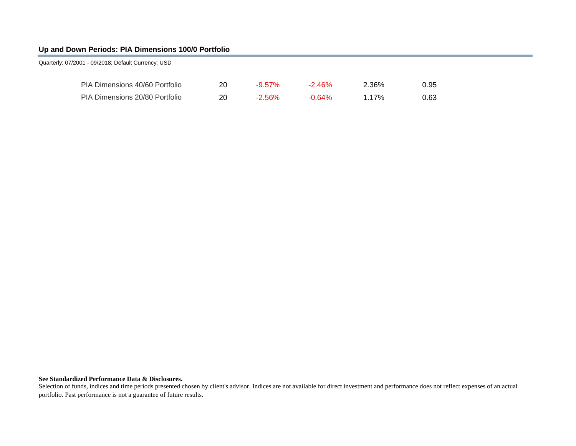# **Up and Down Periods: PIA Dimensions 100/0 Portfolio**

| 20                                                                                                                      | $-9.57\%$ | $-2.46\%$ | 2.36% | 0.95 |
|-------------------------------------------------------------------------------------------------------------------------|-----------|-----------|-------|------|
| 20                                                                                                                      | $-2.56\%$ | $-0.64\%$ | 1.17% | 0.63 |
| Quarterly: 07/2001 - 09/2018; Default Currency: USD<br>PIA Dimensions 40/60 Portfolio<br>PIA Dimensions 20/80 Portfolio |           |           |       |      |

### **See Standardized Performance Data & Disclosures.**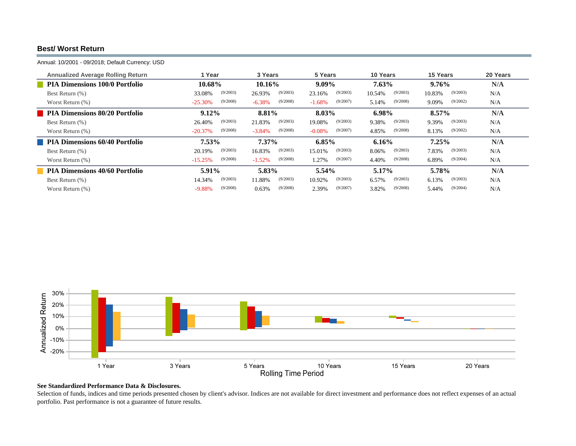# **Best/ Worst Return**

Annual: 10/2001 - 09/2018; Default Currency: USD

| <b>Annualized Average Rolling Return</b> | 1 Year                | 3 Years              | 5 Years              | 10 Years           | 15 Years           | 20 Years |
|------------------------------------------|-----------------------|----------------------|----------------------|--------------------|--------------------|----------|
| <b>PIA Dimensions 100/0 Portfolio</b>    | 10.68%                | 10.16%               | $9.09\%$             | 7.63%              | $9.76\%$           | N/A      |
| Best Return (%)                          | (9/2003)<br>33.08%    | (9/2003)<br>26.93%   | (9/2003)<br>23.16%   | (9/2003)<br>10.54% | (9/2003)<br>10.83% | N/A      |
| Worst Return (%)                         | (9/2008)<br>$-25.30%$ | (9/2008)<br>$-6.38%$ | (9/2007)<br>$-1.68%$ | (9/2008)<br>5.14%  | (9/2002)<br>9.09%  | N/A      |
| <b>PIA Dimensions 80/20 Portfolio</b>    | 9.12%                 | 8.81%                | 8.03%                | 6.98%              | $8.57\%$           | N/A      |
| Best Return (%)                          | (9/2003)<br>26.40%    | (9/2003)<br>21.83%   | (9/2003)<br>19.08%   | (9/2003)<br>9.38%  | (9/2003)<br>9.39%  | N/A      |
| Worst Return (%)                         | (9/2008)<br>$-20.37%$ | (9/2008)<br>$-3.84%$ | (9/2007)<br>$-0.08%$ | (9/2008)<br>4.85%  | (9/2002)<br>8.13%  | N/A      |
| <b>PIA Dimensions 60/40 Portfolio</b>    | $7.53\%$              | $7.37\%$             | 6.85%                | 6.16%              | $7.25\%$           | N/A      |
| Best Return (%)                          | (9/2003)<br>20.19%    | (9/2003)<br>16.83%   | (9/2003)<br>15.01%   | (9/2003)<br>8.06%  | (9/2003)<br>7.83%  | N/A      |
| Worst Return (%)                         | (9/2008)<br>$-15.25%$ | (9/2008)<br>$-1.52%$ | (9/2007)<br>1.27%    | (9/2008)<br>4.40%  | (9/2004)<br>6.89%  | N/A      |
| <b>PIA Dimensions 40/60 Portfolio</b>    | 5.91%                 | 5.83%                | 5.54%                | 5.17%              | 5.78%              | N/A      |
| Best Return (%)                          | (9/2003)<br>14.34%    | (9/2003)<br>11.88%   | (9/2003)<br>10.92%   | (9/2003)<br>6.57%  | (9/2003)<br>6.13%  | N/A      |
| Worst Return (%)                         | (9/2008)<br>$-9.88%$  | (9/2008)<br>0.63%    | (9/2007)<br>2.39%    | (9/2008)<br>3.82%  | (9/2004)<br>5.44%  | N/A      |



## **See Standardized Performance Data & Disclosures.**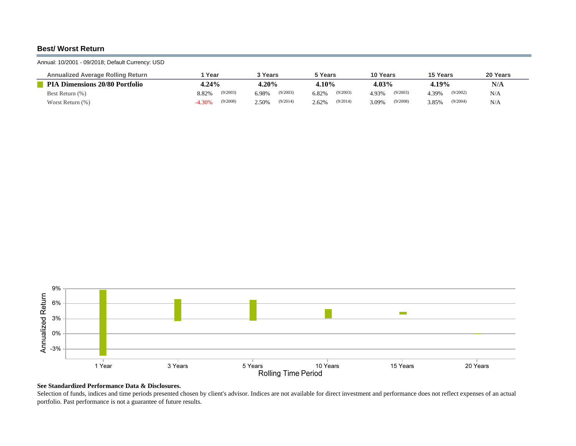# **Best/ Worst Return**

## Annual: 10/2001 - 09/2018; Default Currency: USD

| <b>Annualized Average Rolling Return</b> | Year                 | <u>२</u> Years    | `Years            | 10 Years          | 15 Years          | 20 Years |
|------------------------------------------|----------------------|-------------------|-------------------|-------------------|-------------------|----------|
| <b>PIA Dimensions 20/80 Portfolio</b>    | $4.24\%$             | 4.20%             | 4.10%             | 4.03%             | 4.19%             | N/A      |
| Best Return (%)                          | (9/2003)<br>8.82%    | (9/2003)<br>6.98% | (9/2003)<br>6.82% | (9/2003)<br>4.93% | (9/2002)<br>4.39% | N/A      |
| Worst Return $(\%)$                      | (9/2008)<br>$-4.30%$ | (9/2014)<br>2.50% | (9/2014)<br>2.62% | (9/2008)<br>3.09% | (9/2004)<br>3.85% | N/A      |



### **See Standardized Performance Data & Disclosures.**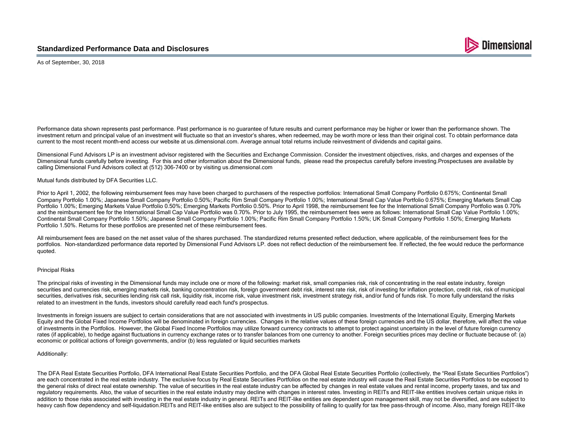

As of September, 30, 2018

Performance data shown represents past performance. Past performance is no guarantee of future results and current performance may be higher or lower than the performance shown. The investment return and principal value of an investment will fluctuate so that an investor's shares, when redeemed, may be worth more or less than their original cost. To obtain performance data current to the most recent month-end access our website at us.dimensional.com. Average annual total returns include reinvestment of dividends and capital gains.

Dimensional Fund Advisors LP is an investment advisor registered with the Securities and Exchange Commission. Consider the investment objectives, risks, and charges and expenses of the Dimensional funds carefully before investing. For this and other information about the Dimensional funds, please read the prospectus carefully before investing. Prospectuses are available by calling Dimensional Fund Advisors collect at (512) 306-7400 or by visiting us.dimensional.com

### Mutual funds distributed by DFA Securities LLC.

Prior to April 1, 2002, the following reimbursement fees may have been charged to purchasers of the respective portfolios; International Small Company Portfolio 0.675%; Continental Small Company Portfolio 1.00%; Japanese Small Company Portfolio 0.50%; Pacific Rim Small Company Portfolio 1.00%; International Small Cap Value Portfolio 0.675%; Emerging Markets Small Cap Portfolio 1.00%; Emerging Markets Value Portfolio 0.50%; Emerging Markets Portfolio 0.50%. Prior to April 1998, the reimbursement fee for the International Small Company Portfolio was 0.70% and the reimbursement fee for the International Small Cap Value Portfolio was 0.70%. Prior to July 1995, the reimbursement fees were as follows: International Small Cap Value Portfolio 1.00%; Continental Small Company Portfolio 1.50%; Japanese Small Company Portfolio 1.00%; Pacific Rim Small Company Portfolio 1.50%; UK Small Company Portfolio 1.50%; Emerging Markets Portfolio 1.50%. Returns for these portfolios are presented net of these reimbursement fees.

All reimbursement fees are based on the net asset value of the shares purchased. The standardized returns presented reflect deduction, where applicable, of the reimbursement fees for the portfolios. Non-standardized performance data reported by Dimensional Fund Advisors LP. does not reflect deduction of the reimbursement fee. If reflected, the fee would reduce the performance quoted.

### Principal Risks

The principal risks of investing in the Dimensional funds may include one or more of the following: market risk, small companies risk, risk of concentrating in the real estate industry, foreign securities and currencies risk, emerging markets risk, banking concentration risk, foreign government debt risk, interest rate risk, risk of investing for inflation protection, credit risk, risk of municipal securities, derivatives risk, securities lending risk call risk, liquidity risk, income risk, value investment risk, investment strategy risk, and/or fund of funds risk. To more fully understand the risks related to an investment in the funds, investors should carefully read each fund's prospectus.

Investments in foreign issuers are subject to certain considerations that are not associated with investments in US public companies. Investments of the International Equity, Emerging Markets Equity and the Global Fixed Income Portfolios will be denominated in foreign currencies. Changes in the relative values of these foreign currencies and the US dollar, therefore, will affect the value of investments in the Portfolios. However, the Global Fixed Income Portfolios may utilize forward currency contracts to attempt to protect against uncertainty in the level of future foreign currency rates (if applicable), to hedge against fluctuations in currency exchange rates or to transfer balances from one currency to another. Foreign securities prices may decline or fluctuate because of: (a) economic or political actions of foreign governments, and/or (b) less regulated or liquid securities markets

### Additionally:

The DFA Real Estate Securities Portfolio, DFA International Real Estate Securities Portfolio, and the DFA Global Real Estate Securities Portfolio (collectively, the "Real Estate Securities Portfolios") are each concentrated in the real estate industry. The exclusive focus by Real Estate Securities Portfolios on the real estate industry will cause the Real Estate Securities Portfolios to be exposed to the general risks of direct real estate ownership. The value of securities in the real estate industry can be affected by changes in real estate values and rental income, property taxes, and tax and regulatory requirements. Also, the value of securities in the real estate industry may decline with changes in interest rates. Investing in REITs and REIT-like entities involves certain unique risks in addition to those risks associated with investing in the real estate industry in general. REITs and REIT-like entities are dependent upon management skill, may not be diversified, and are subject to heavy cash flow dependency and self-liquidation.REITs and REIT-like entities also are subject to the possibility of failing to qualify for tax free pass-through of income. Also, many foreign REIT-like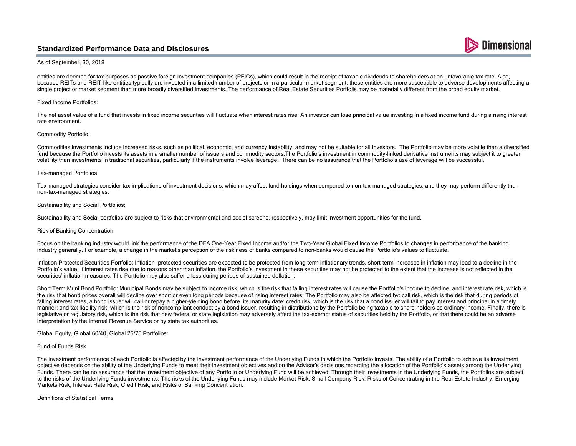# **Standardized Performance Data and Disclosures**

#### As of September, 30, 2018

entities are deemed for tax purposes as passive foreign investment companies (PFICs), which could result in the receipt of taxable dividends to shareholders at an unfavorable tax rate. Also, because REITs and REIT-like entities typically are invested in a limited number of projects or in a particular market segment, these entities are more susceptible to adverse developments affecting a single project or market segment than more broadly diversified investments. The performance of Real Estate Securities Portfolis may be materially different from the broad equity market.

**Dimensional** 

### Fixed Income Portfolios:

The net asset value of a fund that invests in fixed income securities will fluctuate when interest rates rise. An investor can lose principal value investing in a fixed income fund during a rising interest rate environment.

#### Commodity Portfolio:

Commodities investments include increased risks, such as political, economic, and currency instability, and may not be suitable for all investors. The Portfolio may be more volatile than a diversified fund because the Portfolio invests its assets in a smaller number of issuers and commodity sectors. The Portfolio's investment in commodity-linked derivative instruments may subject it to greater volatility than investments in traditional securities, particularly if the instruments involve leverage. There can be no assurance that the Portfolio's use of leverage will be successful.

#### Tax–managed Portfolios:

Tax-managed strategies consider tax implications of investment decisions, which may affect fund holdings when compared to non-tax-managed strategies, and they may perform differently than non-tax-managed strategies.

#### Sustainability and Social Portfolios:

Sustainability and Social portfolios are subject to risks that environmental and social screens, respectively, may limit investment opportunities for the fund.

#### Risk of Banking Concentration

Focus on the banking industry would link the performance of the DFA One-Year Fixed Income and/or the Two-Year Global Fixed Income Portfolios to changes in performance of the banking industry generally. For example, a change in the market's perception of the riskiness of banks compared to non-banks would cause the Portfolio's values to fluctuate.

Inflation Protected Securities Portfolio: Inflation –protected securities are expected to be protected from long-term inflationary trends, short-term increases in inflation may lead to a decline in the Portfolio's value. If interest rates rise due to reasons other than inflation, the Portfolio's investment in these securities may not be protected to the extent that the increase is not reflected in the securities' inflation measures. The Portfolio may also suffer a loss during periods of sustained deflation.

Short Term Muni Bond Portfolio: Municipal Bonds may be subject to income risk, which is the risk that falling interest rates will cause the Portfolio's income to decline, and interest rate risk, which is the risk that bond prices overall will decline over short or even long periods because of rising interest rates. The Portfolio may also be affected by: call risk, which is the risk that during periods of falling interest rates, a bond issuer will call or repay a higher-yielding bond before its maturity date; credit risk, which is the risk that a bond issuer will fail to pay interest and principal in a timely manner; and tax liability risk, which is the risk of noncompliant conduct by a bond issuer, resulting in distributions by the Portfolio being taxable to share-holders as ordinary income. Finally, there is legislative or regulatory risk, which is the risk that new federal or state legislation may adversely affect the tax-exempt status of securities held by the Portfolio, or that there could be an adverse interpretation by the Internal Revenue Service or by state tax authorities.

## Global Equity, Global 60/40, Global 25/75 Portfolios:

#### Fund of Funds Risk

The investment performance of each Portfolio is affected by the investment performance of the Underlying Funds in which the Portfolio invests. The ability of a Portfolio to achieve its investment objective depends on the ability of the Underlying Funds to meet their investment objectives and on the Advisor's decisions regarding the allocation of the Portfolio's assets among the Underlying Funds. There can be no assurance that the investment objective of any Portfolio or Underlying Fund will be achieved. Through their investments in the Underlying Funds, the Portfolios are subject to the risks of the Underlying Funds investments. The risks of the Underlying Funds may include Market Risk, Small Company Risk, Risks of Concentrating in the Real Estate Industry, Emerging Markets Risk, Interest Rate Risk, Credit Risk, and Risks of Banking Concentration.

### Definitions of Statistical Terms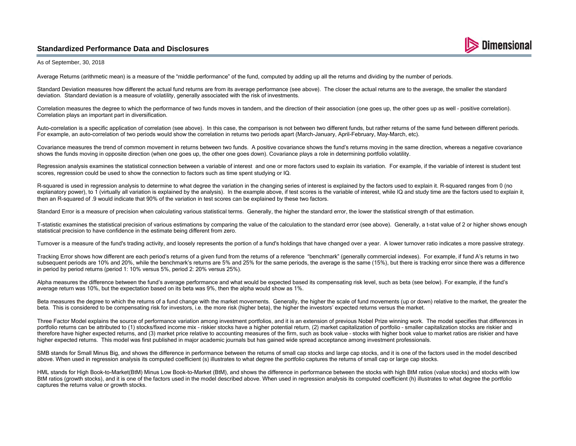# **Standardized Performance Data and Disclosures**



As of September, 30, 2018

Average Returns (arithmetic mean) is a measure of the "middle performance" of the fund, computed by adding up all the returns and dividing by the number of periods.

Standard Deviation measures how different the actual fund returns are from its average performance (see above). The closer the actual returns are to the average, the smaller the standard deviation. Standard deviation is a measure of volatility, generally associated with the risk of investments.

Correlation measures the degree to which the performance of two funds moves in tandem, and the direction of their association (one goes up, the other goes up as well – positive correlation). Correlation plays an important part in diversification.

Auto-correlation is a specific application of correlation (see above). In this case, the comparison is not between two different funds, but rather returns of the same fund between different periods. For example, an auto-correlation of two periods would show the correlation in returns two periods apart (March-January, April-February, May-March, etc).

Covariance measures the trend of common movement in returns between two funds. A positive covariance shows the fund's returns moving in the same direction, whereas a negative covariance shows the funds moving in opposite direction (when one goes up, the other one goes down). Covariance plays a role in determining portfolio volatility.

Regression analysis examines the statistical connection between a variable of interest and one or more factors used to explain its variation. For example, if the variable of interest is student test scores, regression could be used to show the connection to factors such as time spent studying or IQ.

R-squared is used in regression analysis to determine to what degree the variation in the changing series of interest is explained by the factors used to explain it. R-squared ranges from 0 (no explanatory power), to 1 (virtually all variation is explained by the analysis). In the example above, if test scores is the variable of interest, while IQ and study time are the factors used to explain it, then an R-squared of .9 would indicate that 90% of the variation in test scores can be explained by these two factors.

Standard Error is a measure of precision when calculating various statistical terms. Generally, the higher the standard error, the lower the statistical strength of that estimation.

T-statistic examines the statistical precision of various estimations by comparing the value of the calculation to the standard error (see above). Generally, a t-stat value of 2 or higher shows enough statistical precision to have confidence in the estimate being different from zero.

Turnover is a measure of the fund's trading activity, and loosely represents the portion of a fund's holdings that have changed over a year. A lower turnover ratio indicates a more passive strategy.

Tracking Error shows how different are each period's returns of a given fund from the returns of a reference "benchmark" (generally commercial indexes). For example, if fund A's returns in two subsequent periods are 10% and 20%, while the benchmark's returns are 5% and 25% for the same periods, the average is the same (15%), but there is tracking error since there was a difference in period by period returns (period 1: 10% versus 5%, period 2: 20% versus 25%).

Alpha measures the difference between the fund's average performance and what would be expected based its compensating risk level, such as beta (see below). For example, if the fund's average return was 10%, but the expectation based on its beta was 9%, then the alpha would show as 1%.

Beta measures the degree to which the returns of a fund change with the market movements. Generally, the higher the scale of fund movements (up or down) relative to the market, the greater the beta. This is considered to be compensating risk for investors, i.e. the more risk (higher beta), the higher the investors' expected returns versus the market.

Three Factor Model explains the source of performance variation among investment portfolios, and it is an extension of previous Nobel Prize winning work. The model specifies that differences in portfolio returns can be attributed to (1) stocks/fixed income mix – riskier stocks have a higher potential return, (2) market capitalization of portfolio – smaller capitalization stocks are riskier and therefore have higher expected returns, and (3) market price relative to accounting measures of the firm, such as book value – stocks with higher book value to market ratios are riskier and have higher expected returns. This model was first published in major academic journals but has gained wide spread acceptance among investment professionals.

SMB stands for Small Minus Big, and shows the difference in performance between the returns of small cap stocks and large cap stocks, and it is one of the factors used in the model described above. When used in regression analysis its computed coefficient (s) illustrates to what degree the portfolio captures the returns of small cap or large cap stocks.

HML stands for High Book-to-Market(BtM) Minus Low Book-to-Market (BtM), and shows the difference in performance between the stocks with high BtM ratios (value stocks) and stocks with low BtM ratios (growth stocks), and it is one of the factors used in the model described above. When used in regression analysis its computed coefficient (h) illustrates to what degree the portfolio captures the returns value or growth stocks.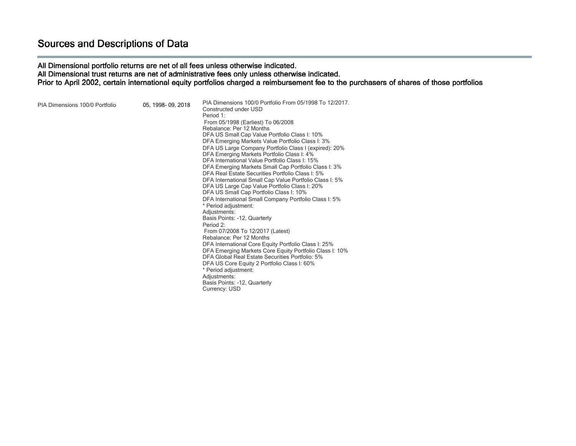All Dimensional portfolio returns are net of all fees unless otherwise indicated. All Dimensional trust returns are net of administrative fees only unless otherwise indicated. Prior to April 2002, certain international equity portfolios charged a reimbursement fee to the purchasers of shares of those portfolios

| PIA Dimensions 100/0 Portfolio | 05, 1998-09, 2018 | PIA Dimensions 100/0 Portfolio From 05/1998 To 12/2017.<br>Constructed under USD<br>Period 1:<br>From 05/1998 (Earliest) To 06/2008<br>Rebalance: Per 12 Months<br>DFA US Small Cap Value Portfolio Class I: 10%<br>DFA Emerging Markets Value Portfolio Class I: 3%<br>DFA US Large Company Portfolio Class I (expired): 20%<br>DFA Emerging Markets Portfolio Class I: 4%<br>DFA International Value Portfolio Class I: 15%<br>DFA Emerging Markets Small Cap Portfolio Class I: 3%<br>DFA Real Estate Securities Portfolio Class I: 5%<br>DFA International Small Cap Value Portfolio Class I: 5%<br>DFA US Large Cap Value Portfolio Class I: 20%<br>DFA US Small Cap Portfolio Class I: 10%<br>DFA International Small Company Portfolio Class I: 5%<br>* Period adjustment:<br>Adjustments:<br>Basis Points: -12, Quarterly<br>Period 2:<br>From 07/2008 To 12/2017 (Latest)<br>Rebalance: Per 12 Months<br>DFA International Core Equity Portfolio Class I: 25%<br>DFA Emerging Markets Core Equity Portfolio Class I: 10%<br>DFA Global Real Estate Securities Portfolio: 5%<br>DFA US Core Equity 2 Portfolio Class I: 60%<br>* Period adjustment:<br>Adjustments:<br>Basis Points: -12, Quarterly<br>Currency: USD |  |
|--------------------------------|-------------------|------------------------------------------------------------------------------------------------------------------------------------------------------------------------------------------------------------------------------------------------------------------------------------------------------------------------------------------------------------------------------------------------------------------------------------------------------------------------------------------------------------------------------------------------------------------------------------------------------------------------------------------------------------------------------------------------------------------------------------------------------------------------------------------------------------------------------------------------------------------------------------------------------------------------------------------------------------------------------------------------------------------------------------------------------------------------------------------------------------------------------------------------------------------------------------------------------------------------------|--|
|--------------------------------|-------------------|------------------------------------------------------------------------------------------------------------------------------------------------------------------------------------------------------------------------------------------------------------------------------------------------------------------------------------------------------------------------------------------------------------------------------------------------------------------------------------------------------------------------------------------------------------------------------------------------------------------------------------------------------------------------------------------------------------------------------------------------------------------------------------------------------------------------------------------------------------------------------------------------------------------------------------------------------------------------------------------------------------------------------------------------------------------------------------------------------------------------------------------------------------------------------------------------------------------------------|--|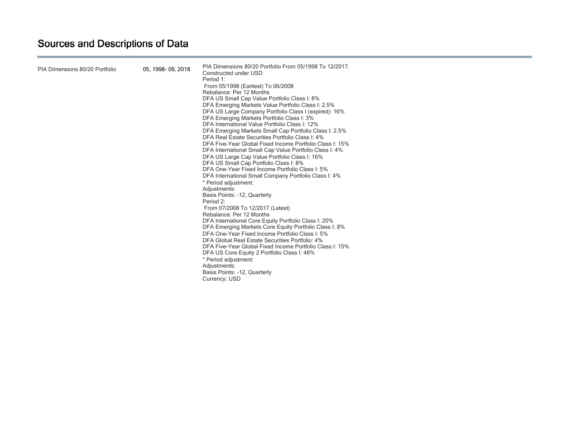| PIA Dimensions 80/20 Portfolio | 05, 1998-09, 2018 | PIA Dimensions 80/20 Portfolio From 05/1998 To 12/2017.<br>Constructed under USD<br>Period 1:<br>From 05/1998 (Earliest) To 06/2008<br>Rebalance: Per 12 Months<br>DFA US Small Cap Value Portfolio Class I: 8%<br>DFA Emerging Markets Value Portfolio Class I: 2.5%<br>DFA US Large Company Portfolio Class I (expired): 16%<br>DFA Emerging Markets Portfolio Class I: 3%<br>DFA International Value Portfolio Class I: 12%<br>DFA Emerging Markets Small Cap Portfolio Class I: 2.5%<br>DFA Real Estate Securities Portfolio Class I: 4%<br>DFA Five-Year Global Fixed Income Portfolio Class I: 15%<br>DFA International Small Cap Value Portfolio Class I: 4%<br>DFA US Large Cap Value Portfolio Class I: 16%<br>DFA US Small Cap Portfolio Class I: 8%<br>DFA One-Year Fixed Income Portfolio Class I: 5%<br>DFA International Small Company Portfolio Class I: 4%<br>* Period adjustment:<br>Adjustments:<br>Basis Points: -12, Quarterly<br>Period 2:<br>From 07/2008 To 12/2017 (Latest)<br>Rebalance: Per 12 Months<br>DFA International Core Equity Portfolio Class I: 20%<br>DFA Emerging Markets Core Equity Portfolio Class I: 8%<br>DFA One-Year Fixed Income Portfolio Class I: 5%<br>DFA Global Real Estate Securities Portfolio: 4%<br>DFA Five-Year Global Fixed Income Portfolio Class I: 15%<br>DFA US Core Equity 2 Portfolio Class I: 48%<br>* Period adjustment:<br>Adjustments:<br>Basis Points: -12, Quarterly<br>Currency: USD |  |
|--------------------------------|-------------------|-------------------------------------------------------------------------------------------------------------------------------------------------------------------------------------------------------------------------------------------------------------------------------------------------------------------------------------------------------------------------------------------------------------------------------------------------------------------------------------------------------------------------------------------------------------------------------------------------------------------------------------------------------------------------------------------------------------------------------------------------------------------------------------------------------------------------------------------------------------------------------------------------------------------------------------------------------------------------------------------------------------------------------------------------------------------------------------------------------------------------------------------------------------------------------------------------------------------------------------------------------------------------------------------------------------------------------------------------------------------------------------------------------------------------------------------------------------|--|
|--------------------------------|-------------------|-------------------------------------------------------------------------------------------------------------------------------------------------------------------------------------------------------------------------------------------------------------------------------------------------------------------------------------------------------------------------------------------------------------------------------------------------------------------------------------------------------------------------------------------------------------------------------------------------------------------------------------------------------------------------------------------------------------------------------------------------------------------------------------------------------------------------------------------------------------------------------------------------------------------------------------------------------------------------------------------------------------------------------------------------------------------------------------------------------------------------------------------------------------------------------------------------------------------------------------------------------------------------------------------------------------------------------------------------------------------------------------------------------------------------------------------------------------|--|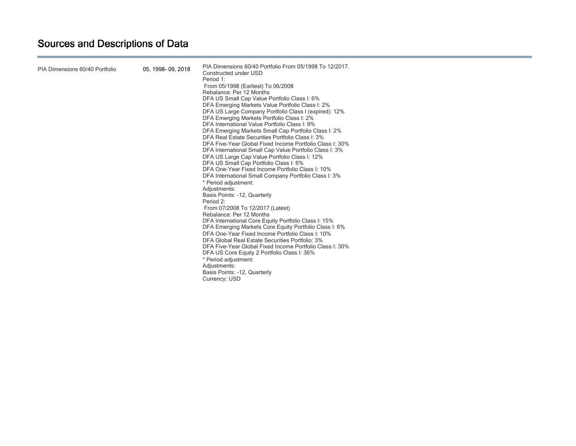| PIA Dimensions 60/40 Portfolio | 05, 1998-09, 2018 | PIA Dimensions 60/40 Portfolio From 05/1998 To 12/2017.<br>Constructed under USD<br>Period 1:<br>From 05/1998 (Earliest) To 06/2008<br>Rebalance: Per 12 Months<br>DFA US Small Cap Value Portfolio Class I: 6%<br>DFA Emerging Markets Value Portfolio Class I: 2%<br>DFA US Large Company Portfolio Class I (expired): 12%<br>DFA Emerging Markets Portfolio Class I: 2%<br>DFA International Value Portfolio Class I: 9%<br>DFA Emerging Markets Small Cap Portfolio Class I: 2%<br>DFA Real Estate Securities Portfolio Class I: 3%<br>DFA Five-Year Global Fixed Income Portfolio Class I: 30%<br>DFA International Small Cap Value Portfolio Class I: 3%<br>DFA US Large Cap Value Portfolio Class I: 12%<br>DFA US Small Cap Portfolio Class I: 6%<br>DFA One-Year Fixed Income Portfolio Class I: 10%<br>DFA International Small Company Portfolio Class I: 3%<br>* Period adjustment:<br>Adjustments:<br>Basis Points: -12, Quarterly<br>Period 2:<br>From 07/2008 To 12/2017 (Latest)<br>Rebalance: Per 12 Months<br>DFA International Core Equity Portfolio Class I: 15%<br>DFA Emerging Markets Core Equity Portfolio Class I: 6%<br>DFA One-Year Fixed Income Portfolio Class I: 10%<br>DFA Global Real Estate Securities Portfolio: 3%<br>DFA Five-Year Global Fixed Income Portfolio Class I: 30%<br>DFA US Core Equity 2 Portfolio Class I: 36%<br>* Period adjustment:<br>Adjustments:<br>Basis Points: -12, Quarterly<br>Currency: USD |  |
|--------------------------------|-------------------|----------------------------------------------------------------------------------------------------------------------------------------------------------------------------------------------------------------------------------------------------------------------------------------------------------------------------------------------------------------------------------------------------------------------------------------------------------------------------------------------------------------------------------------------------------------------------------------------------------------------------------------------------------------------------------------------------------------------------------------------------------------------------------------------------------------------------------------------------------------------------------------------------------------------------------------------------------------------------------------------------------------------------------------------------------------------------------------------------------------------------------------------------------------------------------------------------------------------------------------------------------------------------------------------------------------------------------------------------------------------------------------------------------------------------------------------------------|--|
|--------------------------------|-------------------|----------------------------------------------------------------------------------------------------------------------------------------------------------------------------------------------------------------------------------------------------------------------------------------------------------------------------------------------------------------------------------------------------------------------------------------------------------------------------------------------------------------------------------------------------------------------------------------------------------------------------------------------------------------------------------------------------------------------------------------------------------------------------------------------------------------------------------------------------------------------------------------------------------------------------------------------------------------------------------------------------------------------------------------------------------------------------------------------------------------------------------------------------------------------------------------------------------------------------------------------------------------------------------------------------------------------------------------------------------------------------------------------------------------------------------------------------------|--|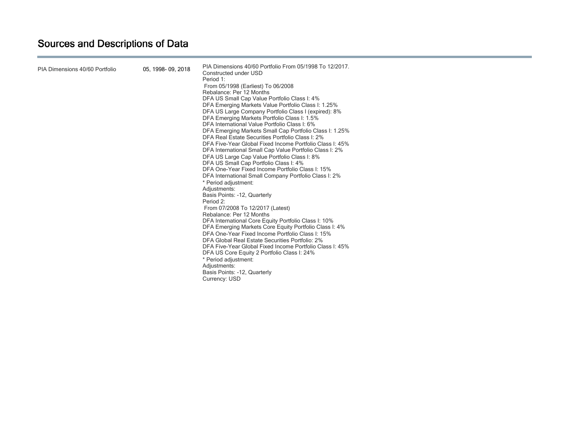| PIA Dimensions 40/60 Portfolio | 05, 1998-09, 2018 | PIA Dimensions 40/60 Portfolio From 05/1998 To 12/2017.<br>Constructed under USD<br>Period 1:<br>From 05/1998 (Earliest) To 06/2008<br>Rebalance: Per 12 Months<br>DFA US Small Cap Value Portfolio Class I: 4%<br>DFA Emerging Markets Value Portfolio Class I: 1.25%<br>DFA US Large Company Portfolio Class I (expired): 8%<br>DFA Emerging Markets Portfolio Class I: 1.5%<br>DFA International Value Portfolio Class I: 6%<br>DFA Emerging Markets Small Cap Portfolio Class I: 1.25%<br>DFA Real Estate Securities Portfolio Class I: 2%<br>DFA Five-Year Global Fixed Income Portfolio Class I: 45%<br>DFA International Small Cap Value Portfolio Class I: 2%<br>DFA US Large Cap Value Portfolio Class I: 8%<br>DFA US Small Cap Portfolio Class I: 4%<br>DFA One-Year Fixed Income Portfolio Class I: 15%<br>DFA International Small Company Portfolio Class I: 2%<br>* Period adjustment:<br>Adjustments:<br>Basis Points: -12, Quarterly<br>Period 2:<br>From 07/2008 To 12/2017 (Latest)<br>Rebalance: Per 12 Months<br>DFA International Core Equity Portfolio Class I: 10%<br>DFA Emerging Markets Core Equity Portfolio Class I: 4%<br>DFA One-Year Fixed Income Portfolio Class I: 15%<br>DFA Global Real Estate Securities Portfolio: 2%<br>DFA Five-Year Global Fixed Income Portfolio Class I: 45%<br>DFA US Core Equity 2 Portfolio Class I: 24%<br>* Period adjustment:<br>Adjustments:<br>Basis Points: -12, Quarterly<br>Currency: USD |  |
|--------------------------------|-------------------|----------------------------------------------------------------------------------------------------------------------------------------------------------------------------------------------------------------------------------------------------------------------------------------------------------------------------------------------------------------------------------------------------------------------------------------------------------------------------------------------------------------------------------------------------------------------------------------------------------------------------------------------------------------------------------------------------------------------------------------------------------------------------------------------------------------------------------------------------------------------------------------------------------------------------------------------------------------------------------------------------------------------------------------------------------------------------------------------------------------------------------------------------------------------------------------------------------------------------------------------------------------------------------------------------------------------------------------------------------------------------------------------------------------------------------------------------------------|--|
|--------------------------------|-------------------|----------------------------------------------------------------------------------------------------------------------------------------------------------------------------------------------------------------------------------------------------------------------------------------------------------------------------------------------------------------------------------------------------------------------------------------------------------------------------------------------------------------------------------------------------------------------------------------------------------------------------------------------------------------------------------------------------------------------------------------------------------------------------------------------------------------------------------------------------------------------------------------------------------------------------------------------------------------------------------------------------------------------------------------------------------------------------------------------------------------------------------------------------------------------------------------------------------------------------------------------------------------------------------------------------------------------------------------------------------------------------------------------------------------------------------------------------------------|--|